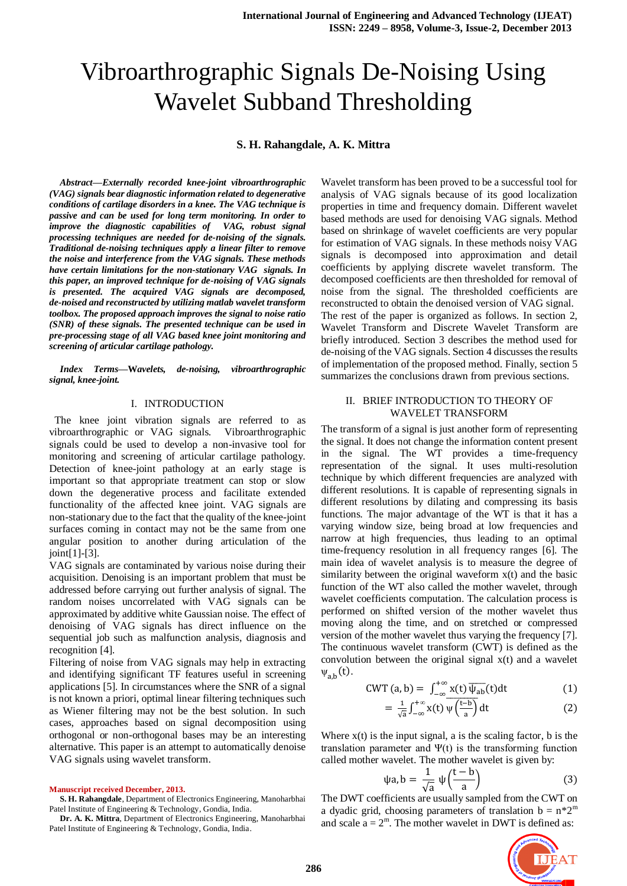# Vibroarthrographic Signals De-Noising Using Wavelet Subband Thresholding

## **S. H. Rahangdale, A. K. Mittra**

*Abstract***—***Externally recorded knee-joint vibroarthrographic (VAG) signals bear diagnostic information related to degenerative conditions of cartilage disorders in a knee. The VAG technique is passive and can be used for long term monitoring. In order to improve the diagnostic capabilities of VAG, robust signal processing techniques are needed for de-noising of the signals. Traditional de-noising techniques apply a linear filter to remove the noise and interference from the VAG signals. These methods have certain limitations for the non-stationary VAG signals. In this paper, an improved technique for de-noising of VAG signals is presented. The acquired VAG signals are decomposed, de-noised and reconstructed by utilizing matlab wavelet transform toolbox. The proposed approach improves the signal to noise ratio (SNR) of these signals. The presented technique can be used in pre-processing stage of all VAG based knee joint monitoring and screening of articular cartilage pathology.*

*Index Terms***—W***avelets, de-noising, vibroarthrographic signal, knee-joint.* 

## I. INTRODUCTION

The knee joint vibration signals are referred to as vibroarthrographic or VAG signals. Vibroarthrographic signals could be used to develop a non-invasive tool for monitoring and screening of articular cartilage pathology. Detection of knee-joint pathology at an early stage is important so that appropriate treatment can stop or slow down the degenerative process and facilitate extended functionality of the affected knee joint. VAG signals are non-stationary due to the fact that the quality of the knee-joint surfaces coming in contact may not be the same from one angular position to another during articulation of the joint[1]-[3].

VAG signals are contaminated by various noise during their acquisition. Denoising is an important problem that must be addressed before carrying out further analysis of signal. The random noises uncorrelated with VAG signals can be approximated by additive white Gaussian noise. The effect of denoising of VAG signals has direct influence on the sequential job such as malfunction analysis, diagnosis and recognition [4].

Filtering of noise from VAG signals may help in extracting and identifying significant TF features useful in screening applications [5]. In circumstances where the SNR of a signal is not known a priori, optimal linear filtering techniques such as Wiener filtering may not be the best solution. In such cases, approaches based on signal decomposition using orthogonal or non-orthogonal bases may be an interesting alternative. This paper is an attempt to automatically denoise VAG signals using wavelet transform.

## **Manuscript received December, 2013.**

**S. H. Rahangdale**, Department of Electronics Engineering, Manoharbhai Patel Institute of Engineering & Technology, Gondia, India.

**Dr. A. K. Mittra**, Department of Electronics Engineering, Manoharbhai Patel Institute of Engineering & Technology, Gondia, India.

Wavelet transform has been proved to be a successful tool for analysis of VAG signals because of its good localization properties in time and frequency domain. Different wavelet based methods are used for denoising VAG signals. Method based on shrinkage of wavelet coefficients are very popular for estimation of VAG signals. In these methods noisy VAG signals is decomposed into approximation and detail coefficients by applying discrete wavelet transform. The decomposed coefficients are then thresholded for removal of noise from the signal. The thresholded coefficients are reconstructed to obtain the denoised version of VAG signal. The rest of the paper is organized as follows. In section 2, Wavelet Transform and Discrete Wavelet Transform are briefly introduced. Section 3 describes the method used for de-noising of the VAG signals. Section 4 discusses the results of implementation of the proposed method. Finally, section 5 summarizes the conclusions drawn from previous sections.

## II. BRIEF INTRODUCTION TO THEORY OF WAVELET TRANSFORM

The transform of a signal is just another form of representing the signal. It does not change the information content present in the signal. The WT provides a time-frequency representation of the signal. It uses multi-resolution technique by which different frequencies are analyzed with different resolutions. It is capable of representing signals in different resolutions by dilating and compressing its basis functions. The major advantage of the WT is that it has a varying window size, being broad at low frequencies and narrow at high frequencies, thus leading to an optimal time-frequency resolution in all frequency ranges [6]. The main idea of wavelet analysis is to measure the degree of similarity between the original waveform  $x(t)$  and the basic function of the WT also called the mother wavelet, through wavelet coefficients computation. The calculation process is performed on shifted version of the mother wavelet thus moving along the time, and on stretched or compressed version of the mother wavelet thus varying the frequency [7]. The continuous wavelet transform (CWT) is defined as the convolution between the original signal x(t) and a wavelet  $\psi_{ab}(t)$ .

$$
CWT(a,b) = \int_{-\infty}^{+\infty} x(t) \, \overline{\psi_{ab}}(t) dt \tag{1}
$$

$$
= \frac{1}{\sqrt{a}} \int_{-\infty}^{+\infty} x(t) \overline{\psi\left(\frac{t-b}{a}\right)} dt
$$
 (2)

Where  $x(t)$  is the input signal, a is the scaling factor, b is the translation parameter and Ψ(t) is the transforming function called mother wavelet. The mother wavelet is given by:

$$
\psi a, b = \frac{1}{\sqrt{a}} \psi \left( \frac{t - b}{a} \right) \tag{3}
$$

The DWT coefficients are usually sampled from the CWT on a dyadic grid, choosing parameters of translation  $b = n^*2^m$ and scale  $a = 2^m$ . The mother wavelet in DWT is defined as:

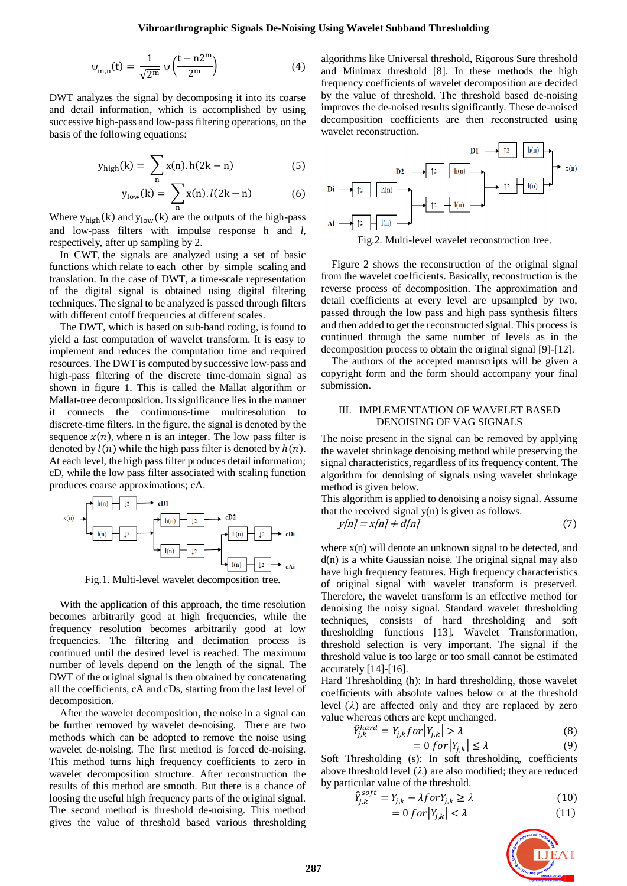$$
\psi_{m,n}(t) = \frac{1}{\sqrt{2^m}} \psi\left(\frac{t - n2^m}{2^m}\right)
$$
 (4)

DWT analyzes the signal by decomposing it into its coarse and detail information, which is accomplished by using successive high-pass and low-pass filtering operations, on the basis of the following equations:

$$
y_{\text{high}}(k) = \sum_{n} x(n) \cdot h(2k - n) \tag{5}
$$

$$
y_{low}(k) = \sum_{n} x(n) \cdot l(2k - n) \tag{6}
$$

Where  $y_{\text{high}}(k)$  and  $y_{\text{low}}(k)$  are the outputs of the high-pass and low-pass filters with impulse response h and *l*, respectively, after up sampling by 2.

In CWT, the signals are analyzed using a set of basic functions which relate to each other by simple scaling and translation. In the case of DWT, a time-scale representation of the digital signal is obtained using digital filtering techniques. The signal to be analyzed is passed through filters with different cutoff frequencies at different scales.

The DWT, which is based on sub-band coding, is found to yield a fast computation of wavelet transform. It is easy to implement and reduces the computation time and required resources. The DWT is computed by successive low-pass and high-pass filtering of the discrete time-domain signal as shown in figure 1. This is called the Mallat algorithm or Mallat-tree decomposition. Its significance lies in the manner it connects the continuous-time multiresolution to discrete-time filters. In the figure, the signal is denoted by the sequence  $x(n)$ , where n is an integer. The low pass filter is denoted by  $l(n)$  while the high pass filter is denoted by  $h(n)$ . At each level, the high pass filter produces detail information; cD, while the low pass filter associated with scaling function produces coarse approximations; cA.



Fig.1. Multi-level wavelet decomposition tree.

With the application of this approach, the time resolution becomes arbitrarily good at high frequencies, while the frequency resolution becomes arbitrarily good at low frequencies. The filtering and decimation process is continued until the desired level is reached. The maximum number of levels depend on the length of the signal. The DWT of the original signal is then obtained by concatenating all the coefficients, cA and cDs, starting from the last level of decomposition.

After the wavelet decomposition, the noise in a signal can be further removed by wavelet de-noising. There are two methods which can be adopted to remove the noise using wavelet de-noising. The first method is forced de-noising. This method turns high frequency coefficients to zero in wavelet decomposition structure. After reconstruction the results of this method are smooth. But there is a chance of loosing the useful high frequency parts of the original signal. The second method is threshold de-noising. This method gives the value of threshold based various thresholding

algorithms like Universal threshold, Rigorous Sure threshold and Minimax threshold [8]. In these methods the high frequency coefficients of wavelet decomposition are decided by the value of threshold. The threshold based de-noising improves the de-noised results significantly. These de-noised decomposition coefficients are then reconstructed using wavelet reconstruction.



Fig.2. Multi-level wavelet reconstruction tree.

Figure 2 shows the reconstruction of the original signal from the wavelet coefficients. Basically, reconstruction is the reverse process of decomposition. The approximation and detail coefficients at every level are upsampled by two, passed through the low pass and high pass synthesis filters and then added to get the reconstructed signal. This process is continued through the same number of levels as in the decomposition process to obtain the original signal [9]-[12].

The authors of the accepted manuscripts will be given a copyright form and the form should accompany your final submission.

## III. IMPLEMENTATION OF WAVELET BASED DENOISING OF VAG SIGNALS

The noise present in the signal can be removed by applying the wavelet shrinkage denoising method while preserving the signal characteristics, regardless of its frequency content. The algorithm for denoising of signals using wavelet shrinkage method is given below.

This algorithm is applied to denoising a noisy signal. Assume that the received signal y(n) is given as follows.

$$
y[n] = x[n] + d[n] \tag{7}
$$

where  $x(n)$  will denote an unknown signal to be detected, and  $d(n)$  is a white Gaussian noise. The original signal may also have high frequency features. High frequency characteristics of original signal with wavelet transform is preserved. Therefore, the wavelet transform is an effective method for denoising the noisy signal. Standard wavelet thresholding techniques, consists of hard thresholding and soft thresholding functions [13]. Wavelet Transformation, threshold selection is very important. The signal if the threshold value is too large or too small cannot be estimated accurately [14]-[16].

Hard Thresholding (h): In hard thresholding, those wavelet coefficients with absolute values below or at the threshold level  $(\lambda)$  are affected only and they are replaced by zero value whereas others are kept unchanged.

$$
\hat{Y}_{j,k}^{hard} = Y_{j,k} for |Y_{j,k}| > \lambda
$$
\n(8)

$$
= 0 \text{ for } |Y_{j,k}| \le \lambda \tag{9}
$$

Soft Thresholding (s): In soft thresholding, coefficients above threshold level  $(\lambda)$  are also modified; they are reduced by particular value of the threshold.

$$
\hat{Y}_{j,k}^{soft} = Y_{j,k} - \lambda for Y_{j,k} \ge \lambda
$$
\n(10)

$$
= 0 \text{ for } |Y_{j,k}| < \lambda \tag{11}
$$

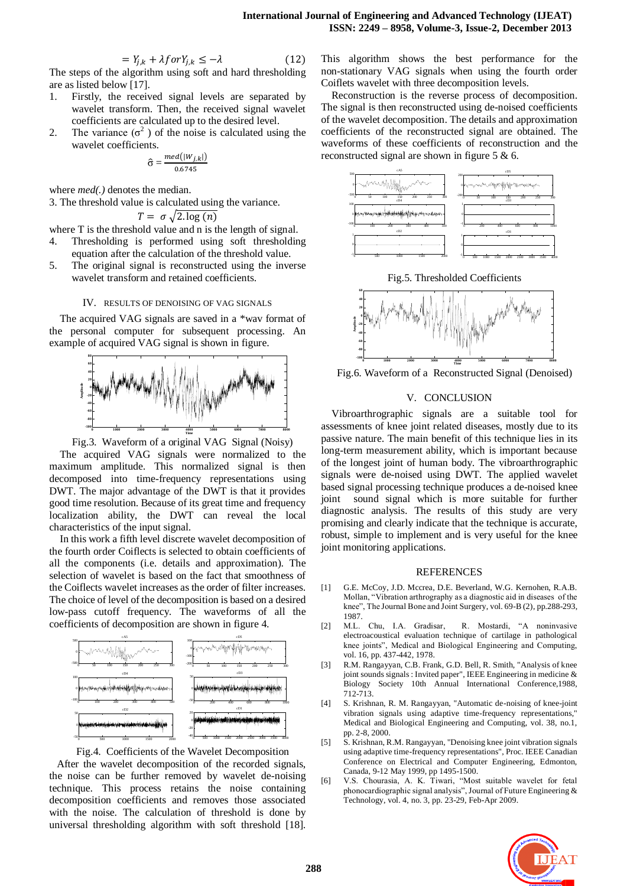$$
= Y_{j,k} + \lambda \text{for} Y_{j,k} \leq -\lambda \tag{12}
$$

The steps of the algorithm using soft and hard thresholding are as listed below [17].

- 1. Firstly, the received signal levels are separated by wavelet transform. Then, the received signal wavelet coefficients are calculated up to the desired level.
- 2. The variance  $(\sigma^2)$  of the noise is calculated using the wavelet coefficients.

$$
\widehat{\sigma} = \frac{med(|W_{j,k}|)}{0.6745}
$$

where *med(.)* denotes the median.

 $\tau$ 

3. The threshold value is calculated using the variance.

$$
= \sigma \sqrt{2 \cdot \log(n)}
$$

where T is the threshold value and n is the length of signal.

- 4. Thresholding is performed using soft thresholding equation after the calculation of the threshold value.
- 5. The original signal is reconstructed using the inverse wavelet transform and retained coefficients.

#### IV. RESULTS OF DENOISING OF VAG SIGNALS

The acquired VAG signals are saved in a \*wav format of the personal computer for subsequent processing. An example of acquired VAG signal is shown in figure.



Fig.3. Waveform of a original VAG Signal (Noisy)

The acquired VAG signals were normalized to the maximum amplitude. This normalized signal is then decomposed into time-frequency representations using DWT. The major advantage of the DWT is that it provides good time resolution. Because of its great time and frequency localization ability, the DWT can reveal the local characteristics of the input signal.

In this work a fifth level discrete wavelet decomposition of the fourth order Coiflects is selected to obtain coefficients of all the components (i.e. details and approximation). The selection of wavelet is based on the fact that smoothness of the Coiflects wavelet increases as the order of filter increases. The choice of level of the decomposition is based on a desired low-pass cutoff frequency. The waveforms of all the coefficients of decomposition are shown in figure 4.



Fig.4. Coefficients of the Wavelet Decomposition

After the wavelet decomposition of the recorded signals, the noise can be further removed by wavelet de-noising technique. This process retains the noise containing decomposition coefficients and removes those associated with the noise. The calculation of threshold is done by universal thresholding algorithm with soft threshold [18]. This algorithm shows the best performance for the non-stationary VAG signals when using the fourth order Coiflets wavelet with three decomposition levels.

Reconstruction is the reverse process of decomposition. The signal is then reconstructed using de-noised coefficients of the wavelet decomposition. The details and approximation coefficients of the reconstructed signal are obtained. The waveforms of these coefficients of reconstruction and the reconstructed signal are shown in figure 5 & 6.



Fig.5. Thresholded Coefficients



Fig.6. Waveform of a Reconstructed Signal (Denoised)

### V. CONCLUSION

Vibroarthrographic signals are a suitable tool for assessments of knee joint related diseases, mostly due to its passive nature. The main benefit of this technique lies in its long-term measurement ability, which is important because of the longest joint of human body. The vibroarthrographic signals were de-noised using DWT. The applied wavelet based signal processing technique produces a de-noised knee joint sound signal which is more suitable for further diagnostic analysis. The results of this study are very promising and clearly indicate that the technique is accurate, robust, simple to implement and is very useful for the knee joint monitoring applications.

## **REFERENCES**

- [1] G.E. McCoy, J.D. Mccrea, D.E. Beverland, W.G. Kernohen, R.A.B. Mollan, "Vibration arthrography as a diagnostic aid in diseases of the knee", The Journal Bone and Joint Surgery, vol. 69-B (2), pp.288-293, 1987.
- [2] M.L. Chu, I.A. Gradisar, R. Mostardi, "A noninvasive electroacoustical evaluation technique of cartilage in pathological knee joints", Medical and Biological Engineering and Computing, vol. 16, pp. 437-442, 1978.
- [3] R.M. Rangayyan, C.B. Frank, G.D. Bell, R. Smith, "Analysis of knee joint sounds signals : Invited paper", IEEE Engineering in medicine & Biology Society 10th Annual International Conference,1988, 712-713.
- [4] S. Krishnan, R. M. Rangayyan, "Automatic de-noising of knee-joint vibration signals using adaptive time-frequency representations," Medical and Biological Engineering and Computing, vol. 38, no.1, pp. 2-8, 2000.
- [5] S. Krishnan, R.M. Rangayyan, "Denoising knee joint vibration signals using adaptive time-frequency representations", Proc. IEEE Canadian Conference on Electrical and Computer Engineering, Edmonton, Canada, 9-12 May 1999, pp 1495-1500.
- [6] V.S. Chourasia, A. K. Tiwari, "Most suitable wavelet for fetal phonocardiographic signal analysis", Journal of Future Engineering & Technology, vol. 4, no. 3, pp. 23-29, Feb-Apr 2009.